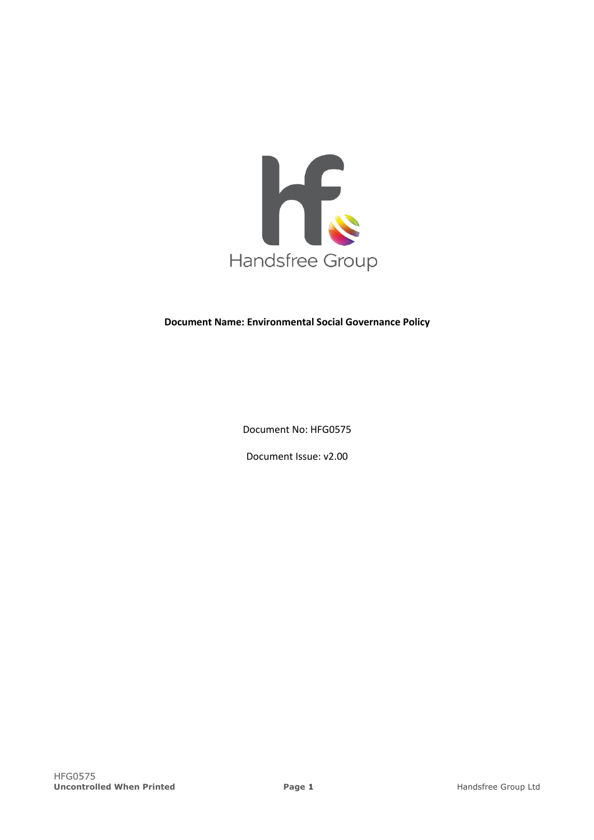

# **Document Name: Environmental Social Governance Policy**

Document No: HFG0575

Document Issue: v2.00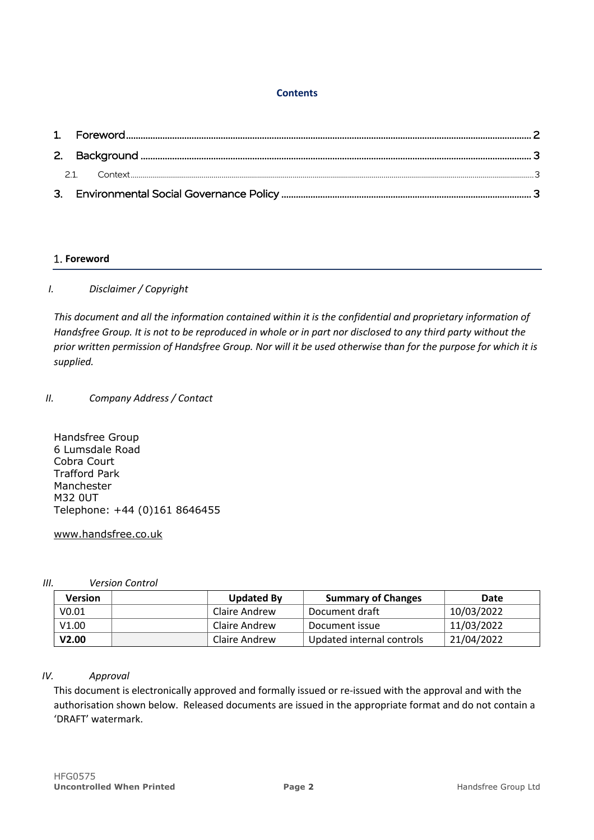## **Contents**

# **Foreword**

# *I. Disclaimer / Copyright*

*This document and all the information contained within it is the confidential and proprietary information of Handsfree Group. It is not to be reproduced in whole or in part nor disclosed to any third party without the prior written permission of Handsfree Group. Nor will it be used otherwise than for the purpose for which it is supplied.*

# *II. Company Address / Contact*

Handsfree Group 6 Lumsdale Road Cobra Court Trafford Park Manchester M32 0UT Telephone: +44 (0)161 8646455

### www.handsfree.co.uk

*III. Version Control*

| <b>Version</b> | <b>Updated By</b> | <b>Summary of Changes</b> | Date       |
|----------------|-------------------|---------------------------|------------|
| V0.01          | Claire Andrew     | Document draft            | 10/03/2022 |
| V1.00          | Claire Andrew     | Document issue            | 11/03/2022 |
| V2.00          | Claire Andrew     | Updated internal controls | 21/04/2022 |

# *IV. Approval*

This document is electronically approved and formally issued or re-issued with the approval and with the authorisation shown below. Released documents are issued in the appropriate format and do not contain a 'DRAFT' watermark.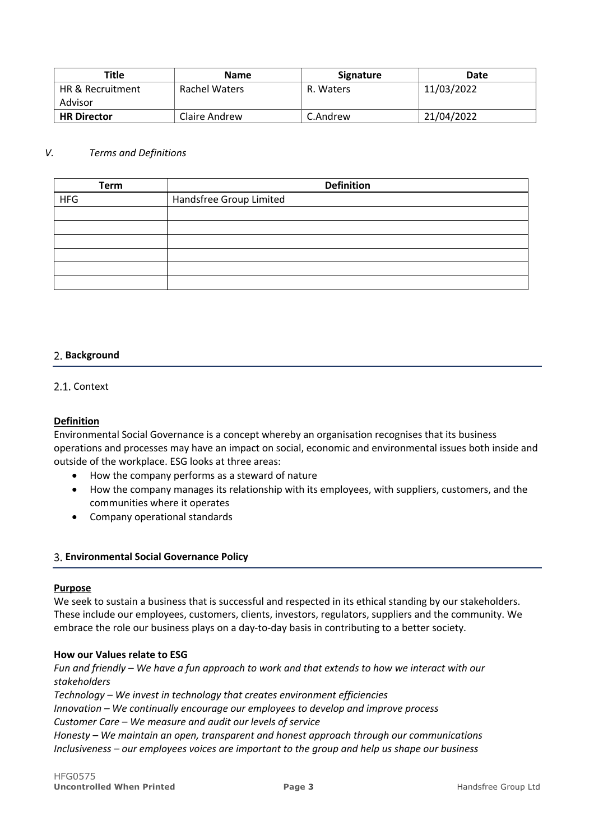| Title                       | <b>Name</b>   | <b>Signature</b> | Date       |
|-----------------------------|---------------|------------------|------------|
| <b>HR &amp; Recruitment</b> | Rachel Waters | R. Waters        | 11/03/2022 |
| Advisor                     |               |                  |            |
| <b>HR Director</b>          | Claire Andrew | C.Andrew         | 21/04/2022 |

### *V. Terms and Definitions*

| <b>Term</b> | <b>Definition</b>       |
|-------------|-------------------------|
| <b>HFG</b>  | Handsfree Group Limited |
|             |                         |
|             |                         |
|             |                         |
|             |                         |
|             |                         |
|             |                         |

### **Background**

### 2.1. Context

### **Definition**

Environmental Social Governance is a concept whereby an organisation recognises that its business operations and processes may have an impact on social, economic and environmental issues both inside and outside of the workplace. ESG looks at three areas:

- How the company performs as a steward of nature
- How the company manages its relationship with its employees, with suppliers, customers, and the communities where it operates
- Company operational standards

#### **Environmental Social Governance Policy**

#### **Purpose**

We seek to sustain a business that is successful and respected in its ethical standing by our stakeholders. These include our employees, customers, clients, investors, regulators, suppliers and the community. We embrace the role our business plays on a day-to-day basis in contributing to a better society.

#### **How our Values relate to ESG**

*Fun and friendly – We have a fun approach to work and that extends to how we interact with our stakeholders* 

*Technology – We invest in technology that creates environment efficiencies Innovation – We continually encourage our employees to develop and improve process Customer Care – We measure and audit our levels of service Honesty – We maintain an open, transparent and honest approach through our communications Inclusiveness – our employees voices are important to the group and help us shape our business*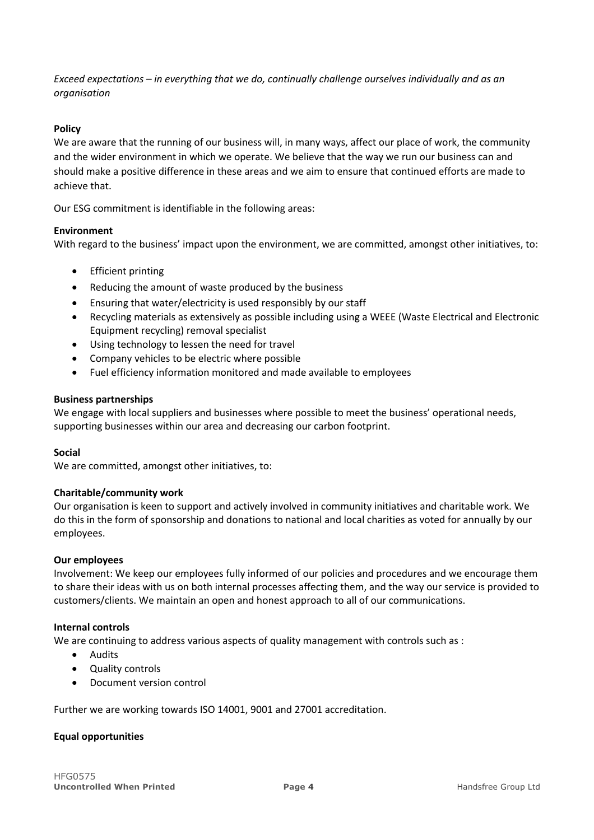*Exceed expectations – in everything that we do, continually challenge ourselves individually and as an organisation*

# **Policy**

We are aware that the running of our business will, in many ways, affect our place of work, the community and the wider environment in which we operate. We believe that the way we run our business can and should make a positive difference in these areas and we aim to ensure that continued efforts are made to achieve that.

Our ESG commitment is identifiable in the following areas:

### **Environment**

With regard to the business' impact upon the environment, we are committed, amongst other initiatives, to:

- **Efficient printing**
- Reducing the amount of waste produced by the business
- Ensuring that water/electricity is used responsibly by our staff
- Recycling materials as extensively as possible including using a WEEE (Waste Electrical and Electronic Equipment recycling) removal specialist
- Using technology to lessen the need for travel
- Company vehicles to be electric where possible
- Fuel efficiency information monitored and made available to employees

### **Business partnerships**

We engage with local suppliers and businesses where possible to meet the business' operational needs, supporting businesses within our area and decreasing our carbon footprint.

### **Social**

We are committed, amongst other initiatives, to:

### **Charitable/community work**

Our organisation is keen to support and actively involved in community initiatives and charitable work. We do this in the form of sponsorship and donations to national and local charities as voted for annually by our employees.

#### **Our employees**

Involvement: We keep our employees fully informed of our policies and procedures and we encourage them to share their ideas with us on both internal processes affecting them, and the way our service is provided to customers/clients. We maintain an open and honest approach to all of our communications.

#### **Internal controls**

We are continuing to address various aspects of quality management with controls such as :

- Audits
- Quality controls
- Document version control

Further we are working towards ISO 14001, 9001 and 27001 accreditation.

### **Equal opportunities**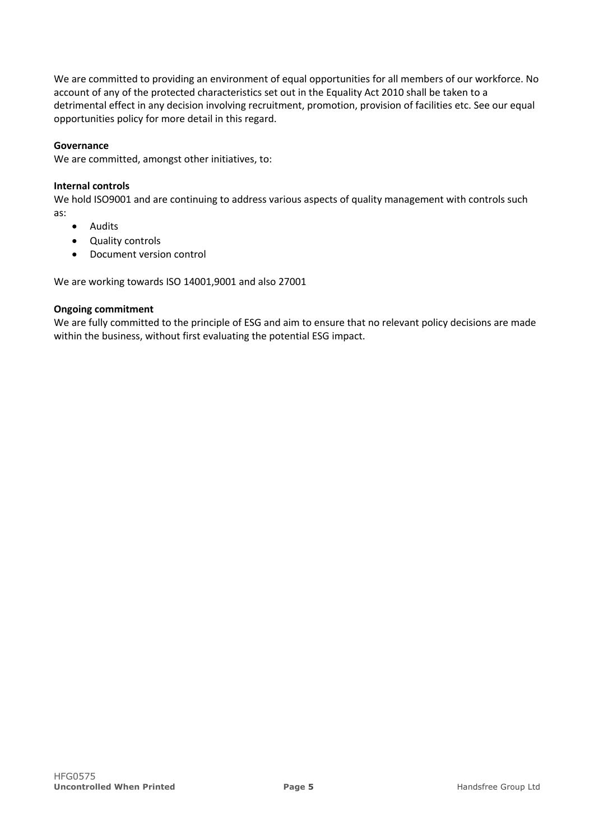We are committed to providing an environment of equal opportunities for all members of our workforce. No account of any of the protected characteristics set out in the Equality Act 2010 shall be taken to a detrimental effect in any decision involving recruitment, promotion, provision of facilities etc. See our equal opportunities policy for more detail in this regard.

### **Governance**

We are committed, amongst other initiatives, to:

### **Internal controls**

We hold ISO9001 and are continuing to address various aspects of quality management with controls such as:

- Audits
- Quality controls
- Document version control

We are working towards ISO 14001,9001 and also 27001

### **Ongoing commitment**

We are fully committed to the principle of ESG and aim to ensure that no relevant policy decisions are made within the business, without first evaluating the potential ESG impact.